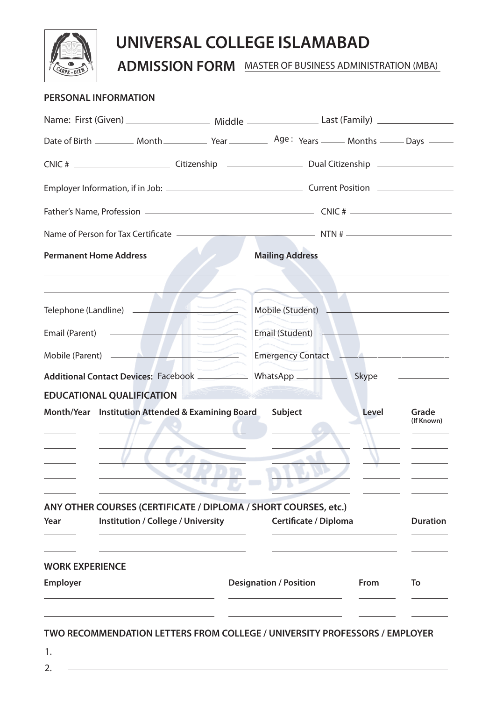

# **UNIVERSAL COLLEGE ISLAMABAD**

**ADMISSION FORM** MASTER OF BUSINESS ADMINISTRATION (MBA)

### **PERSONAL INFORMATION**

| Name: First (Given) _________________________ Middle _____________________Last (Family) _________________            |                                        |       |                                                                                    |
|----------------------------------------------------------------------------------------------------------------------|----------------------------------------|-------|------------------------------------------------------------------------------------|
|                                                                                                                      |                                        |       |                                                                                    |
|                                                                                                                      |                                        |       |                                                                                    |
|                                                                                                                      |                                        |       |                                                                                    |
|                                                                                                                      |                                        |       |                                                                                    |
|                                                                                                                      |                                        |       |                                                                                    |
| <b>Permanent Home Address</b>                                                                                        | <b>Mailing Address</b>                 |       |                                                                                    |
| Telephone (Landline) <b>Andrew Property</b>                                                                          |                                        |       |                                                                                    |
|                                                                                                                      | Email (Student) <b>Email (Student)</b> |       |                                                                                    |
| Mobile (Parent) <b>Emergency Contact</b>                                                                             |                                        |       |                                                                                    |
|                                                                                                                      |                                        |       | $\overline{\phantom{a}}$ and $\overline{\phantom{a}}$ and $\overline{\phantom{a}}$ |
| <b>EDUCATIONAL QUALIFICATION</b>                                                                                     |                                        |       |                                                                                    |
| Month/Year Institution Attended & Examining Board                                                                    | Subject                                | Level | Grade<br>(If Known)                                                                |
|                                                                                                                      |                                        |       |                                                                                    |
| ANY OTHER COURSES (CERTIFICATE / DIPLOMA / SHORT COURSES, etc.)<br>Year<br><b>Institution / College / University</b> | Certificate / Diploma                  |       | <b>Duration</b>                                                                    |
| <b>WORK EXPERIENCE</b><br><b>Employer</b>                                                                            | <b>Designation / Position</b>          | From  | To                                                                                 |
|                                                                                                                      |                                        |       |                                                                                    |

**TWO RECOMMENDATION LETTERS FROM COLLEGE / UNIVERSITY PROFESSORS / EMPLOYER**

1. 2.